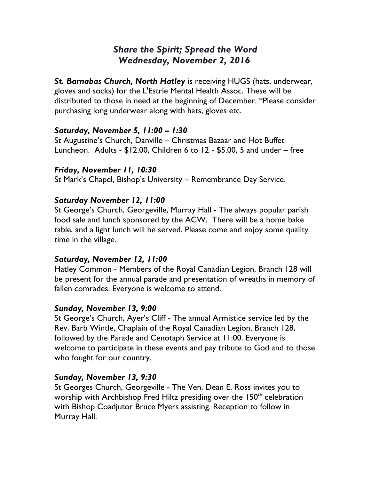# *Share the Spirit; Spread the Word Wednesday, November 2, 2016*

*St. Barnabas Church, North Hatley* is receiving HUGS (hats, underwear, gloves and socks) for the L'Estrie Mental Health Assoc. These will be distributed to those in need at the beginning of December. \*Please consider purchasing long underwear along with hats, gloves etc.

## *Saturday, November 5, 11:00 – 1:30*

St Augustine's Church, Danville – Christmas Bazaar and Hot Buffet Luncheon. Adults - \$12.00, Children 6 to 12 - \$5.00, 5 and under – free

## *Friday, November 11, 10:30*

St Mark's Chapel, Bishop's University – Remembrance Day Service.

## *Saturday November 12, 11:00*

St George's Church, Georgeville, Murray Hall - The always popular parish food sale and lunch sponsored by the ACW. There will be a home bake table, and a light lunch will be served. Please come and enjoy some quality time in the village.

# *Saturday, November 12, 11:00*

Hatley Common - Members of the Royal Canadian Legion, Branch 128 will be present for the annual parade and presentation of wreaths in memory of fallen comrades. Everyone is welcome to attend.

#### *Sunday, November 13, 9:00*

St George's Church, Ayer's Cliff - The annual Armistice service led by the Rev. Barb Wintle, Chaplain of the Royal Canadian Legion, Branch 128, followed by the Parade and Cenotaph Service at 11:00. Everyone is welcome to participate in these events and pay tribute to God and to those who fought for our country.

# *Sunday, November 13, 9:30*

St Georges Church, Georgeville - The Ven. Dean E. Ross invites you to worship with Archbishop Fred Hiltz presiding over the 150<sup>th</sup> celebration with Bishop Coadjutor Bruce Myers assisting. Reception to follow in Murray Hall.